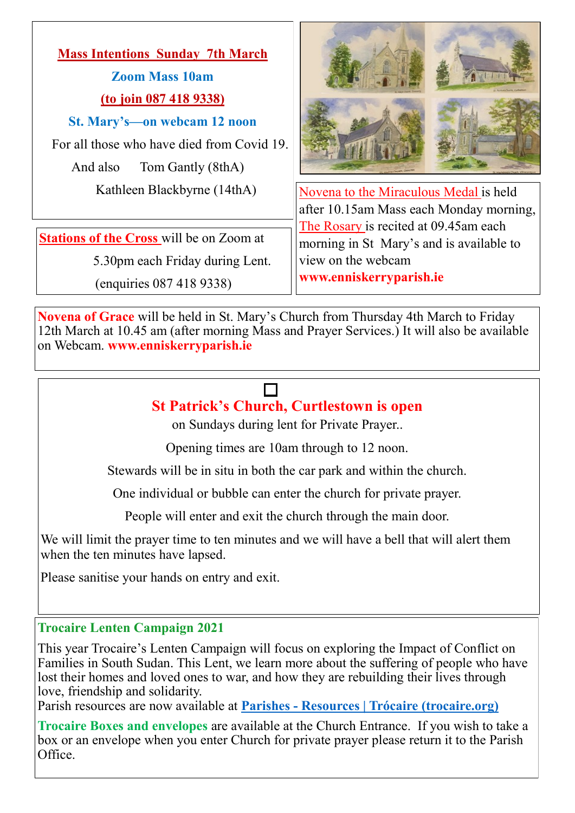# **Mass Intentions Sunday 7th March Zoom Mass 10am (to join 087 418 9338) St. Mary's—on webcam 12 noon** For all those who have died from Covid 19. And also Tom Gantly (8thA)

**Stations of the Cross** will be on Zoom at

5.30pm each Friday during Lent.

(enquiries 087 418 9338)



Kathleen Blackbyrne (14thA) | Novena to the Miraculous Medal is held after 10.15am Mass each Monday morning, The Rosary is recited at 09.45am each morning in St Mary's and is available to view on the webcam **www.enniskerryparish.ie**

**Novena of Grace** will be held in St. Mary's Church from Thursday 4th March to Friday 12th March at 10.45 am (after morning Mass and Prayer Services.) It will also be available on Webcam. **www.enniskerryparish.ie**

## **St Patrick's Church, Curtlestown is open**

on Sundays during lent for Private Prayer..

Opening times are 10am through to 12 noon.

Stewards will be in situ in both the car park and within the church.

One individual or bubble can enter the church for private prayer.

People will enter and exit the church through the main door.

We will limit the prayer time to ten minutes and we will have a bell that will alert them when the ten minutes have lapsed.

Please sanitise your hands on entry and exit.

## **Trocaire Lenten Campaign 2021**

This year Trocaire's Lenten Campaign will focus on exploring the Impact of Conflict on Families in South Sudan. This Lent, we learn more about the suffering of people who have lost their homes and loved ones to war, and how they are rebuilding their lives through love, friendship and solidarity.

Parish resources are now available at **Parishes - [Resources | Trócaire \(trocaire.org\)](https://www.trocaire.org/our-work/working-in-ireland/parishes/resources/)**

**Trocaire Boxes and envelopes** are available at the Church Entrance. If you wish to take a box or an envelope when you enter Church for private prayer please return it to the Parish Office.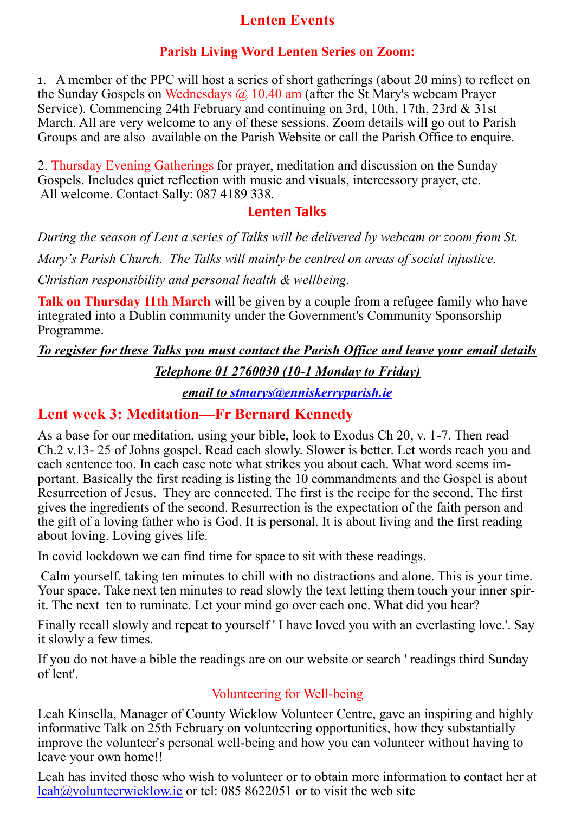## **Lenten Events**

## **Parish Living Word Lenten Series on Zoom:**

1. A member of the PPC will host a series of short gatherings (about 20 mins) to reflect on the Sunday Gospels on Wednesdays  $\omega$  10.40 am (after the St Mary's webcam Prayer Service). Commencing 24th February and continuing on 3rd, 10th, 17th, 23rd & 31st March. All are very welcome to any of these sessions. Zoom details will go out to Parish Groups and are also available on the Parish Website or call the Parish Office to enquire.

2. Thursday Evening Gatherings for prayer, meditation and discussion on the Sunday Gospels. Includes quiet reflection with music and visuals, intercessory prayer, etc. All welcome. Contact Sally: 087 4189 338.

## **Lenten Talks**

*During the season of Lent a series of Talks will be delivered by webcam or zoom from St. Mary's Parish Church. The Talks will mainly be centred on areas of social injustice, Christian responsibility and personal health & wellbeing.* 

**Talk on Thursday 11th March** will be given by a couple from a refugee family who have integrated into a Dublin community under the Government's Community Sponsorship Programme.

*To register for these Talks you must contact the Parish Office and leave your email details* 

## *Telephone 01 2760030 (10-1 Monday to Friday)*

*email to [stmarys@enniskerryparish.ie](mailto:stmarys@enniskerryparish.ie)*

## **Lent week 3: Meditation—Fr Bernard Kennedy**

As a base for our meditation, using your bible, look to Exodus Ch 20, v. 1-7. Then read Ch.2 v.13- 25 of Johns gospel. Read each slowly. Slower is better. Let words reach you and each sentence too. In each case note what strikes you about each. What word seems important. Basically the first reading is listing the 10 commandments and the Gospel is about Resurrection of Jesus. They are connected. The first is the recipe for the second. The first gives the ingredients of the second. Resurrection is the expectation of the faith person and the gift of a loving father who is God. It is personal. It is about living and the first reading about loving. Loving gives life.

In covid lockdown we can find time for space to sit with these readings.

Calm yourself, taking ten minutes to chill with no distractions and alone. This is your time. Your space. Take next ten minutes to read slowly the text letting them touch your inner spirit. The next ten to ruminate. Let your mind go over each one. What did you hear?

Finally recall slowly and repeat to yourself ' I have loved you with an everlasting love.'. Say it slowly a few times.

If you do not have a bible the readings are on our website or search ' readings third Sunday of lent'.

## Volunteering for Well-being

Leah Kinsella, Manager of County Wicklow Volunteer Centre, gave an inspiring and highly informative Talk on 25th February on volunteering opportunities, how they substantially improve the volunteer's personal well-being and how you can volunteer without having to leave your own home!!

Leah has invited those who wish to volunteer or to obtain more information to contact her at  $\text{leah@volumteerwicklow.}$ ie or tel: 085 8622051 or to visit the web site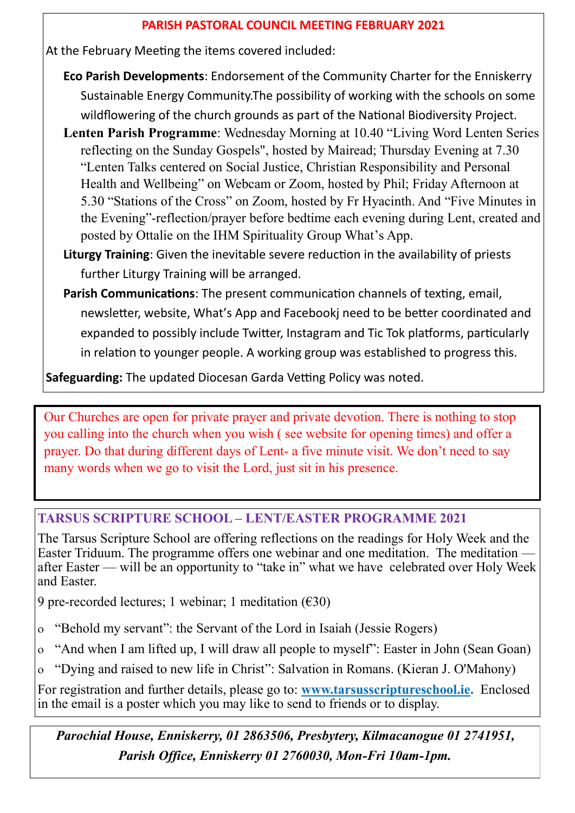#### **PARISH PASTORAL COUNCIL MEETING FEBRUARY 2021**

At the February Meeting the items covered included:

- **Eco Parish Developments**: Endorsement of the Community Charter for the Enniskerry Sustainable Energy Community.The possibility of working with the schools on some wildflowering of the church grounds as part of the National Biodiversity Project.
- **Lenten Parish Programme**: Wednesday Morning at 10.40 "Living Word Lenten Series reflecting on the Sunday Gospels", hosted by Mairead; Thursday Evening at 7.30 "Lenten Talks centered on Social Justice, Christian Responsibility and Personal Health and Wellbeing" on Webcam or Zoom, hosted by Phil; Friday Afternoon at 5.30 "Stations of the Cross" on Zoom, hosted by Fr Hyacinth. And "Five Minutes in the Evening"-reflection/prayer before bedtime each evening during Lent, created and posted by Ottalie on the IHM Spirituality Group What's App.
- **Liturgy Training**: Given the inevitable severe reduction in the availability of priests further Liturgy Training will be arranged.
- **Parish Communications**: The present communication channels of texting, email, newsletter, website, What's App and Facebookj need to be better coordinated and expanded to possibly include Twitter, Instagram and Tic Tok platforms, particularly in relation to younger people. A working group was established to progress this.

**Safeguarding:** The updated Diocesan Garda Vetting Policy was noted.

Our Churches are open for private prayer and private devotion. There is nothing to stop you calling into the church when you wish ( see website for opening times) and offer a prayer. Do that during different days of Lent- a five minute visit. We don't need to say many words when we go to visit the Lord, just sit in his presence.

#### **TARSUS SCRIPTURE SCHOOL – LENT/EASTER PROGRAMME 2021**

The Tarsus Scripture School are offering reflections on the readings for Holy Week and the Easter Triduum. The programme offers one webinar and one meditation. The meditation after Easter — will be an opportunity to "take in" what we have celebrated over Holy Week and Easter.

9 pre-recorded lectures; 1 webinar; 1 meditation  $(630)$ 

- "Behold my servant": the Servant of the Lord in Isaiah (Jessie Rogers)
- "And when I am lifted up, I will draw all people to myself": Easter in John (Sean Goan)
- "Dying and raised to new life in Christ": Salvation in Romans. (Kieran J. O'Mahony)

For registration and further details, please go to: **[www.tarsusscriptureschool.ie.](http://www.tarsusscriptureschool.ie)** Enclosed in the email is a poster which you may like to send to friends or to display.

*Parochial House, Enniskerry, 01 2863506, Presbytery, Kilmacanogue 01 2741951, Parish Office, Enniskerry 01 2760030, Mon-Fri 10am-1pm.*